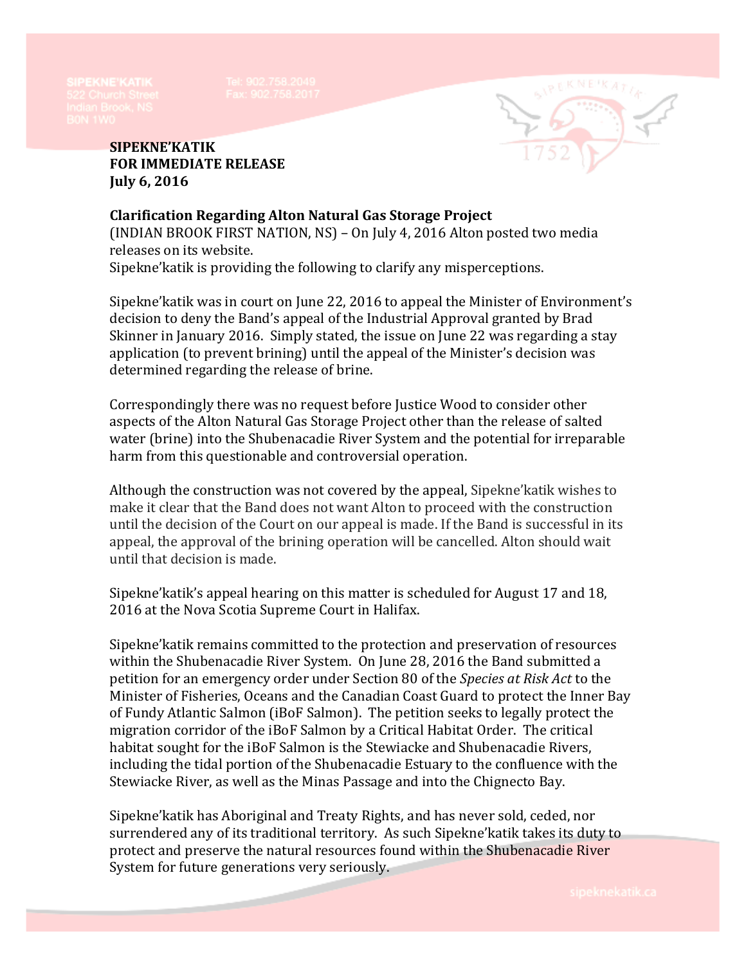

**SIPEKNE'KATIK FOR IMMEDIATE RELEASE July 6, 2016**

**Clarification Regarding Alton Natural Gas Storage Project** (INDIAN BROOK FIRST NATION, NS) – On July 4, 2016 Alton posted two media releases on its website. Sipekne'katik is providing the following to clarify any misperceptions.

Sipekne'katik was in court on June 22, 2016 to appeal the Minister of Environment's decision to deny the Band's appeal of the Industrial Approval granted by Brad Skinner in January 2016. Simply stated, the issue on June 22 was regarding a stay application (to prevent brining) until the appeal of the Minister's decision was determined regarding the release of brine.

Correspondingly there was no request before Justice Wood to consider other aspects of the Alton Natural Gas Storage Project other than the release of salted water (brine) into the Shubenacadie River System and the potential for irreparable harm from this questionable and controversial operation.

Although the construction was not covered by the appeal, Sipekne'katik wishes to make it clear that the Band does not want Alton to proceed with the construction until the decision of the Court on our appeal is made. If the Band is successful in its appeal, the approval of the brining operation will be cancelled. Alton should wait until that decision is made.

Sipekne'katik's appeal hearing on this matter is scheduled for August 17 and 18, 2016 at the Nova Scotia Supreme Court in Halifax.

Sipekne'katik remains committed to the protection and preservation of resources within the Shubenacadie River System. On June 28, 2016 the Band submitted a petition for an emergency order under Section 80 of the *Species at Risk Act* to the Minister of Fisheries, Oceans and the Canadian Coast Guard to protect the Inner Bay of Fundy Atlantic Salmon (iBoF Salmon). The petition seeks to legally protect the migration corridor of the iBoF Salmon by a Critical Habitat Order. The critical habitat sought for the iBoF Salmon is the Stewiacke and Shubenacadie Rivers, including the tidal portion of the Shubenacadie Estuary to the confluence with the Stewiacke River, as well as the Minas Passage and into the Chignecto Bay.

Sipekne'katik has Aboriginal and Treaty Rights, and has never sold, ceded, nor surrendered any of its traditional territory. As such Sipekne'katik takes its duty to protect and preserve the natural resources found within the Shubenacadie River System for future generations very seriously.